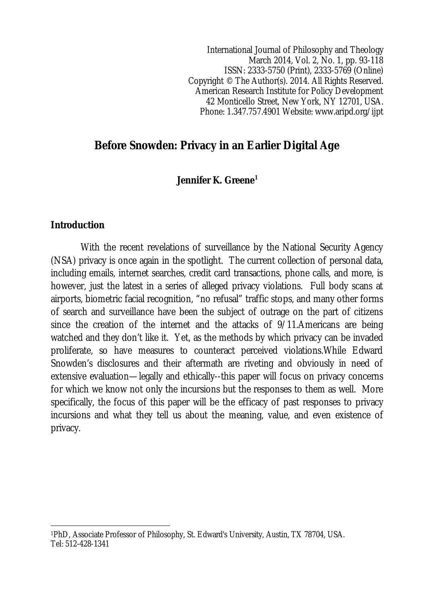International Journal of Philosophy and Theology March 2014, Vol. 2, No. 1, pp. 93-118 ISSN: 2333-5750 (Print), 2333-5769 (Online) Copyright © The Author(s). 2014. All Rights Reserved. American Research Institute for Policy Development 42 Monticello Street, New York, NY 12701, USA. Phone: 1.347.757.4901 Website: www.aripd.org/ijpt

# **Before Snowden: Privacy in an Earlier Digital Age**

### **Jennifer K. Greene<sup>1</sup>**

### **Introduction**

With the recent revelations of surveillance by the National Security Agency (NSA) privacy is once again in the spotlight. The current collection of personal data, including emails, internet searches, credit card transactions, phone calls, and more, is however, just the latest in a series of alleged privacy violations. Full body scans at airports, biometric facial recognition, "no refusal" traffic stops, and many other forms of search and surveillance have been the subject of outrage on the part of citizens since the creation of the internet and the attacks of 9/11.Americans are being watched and they don't like it. Yet, as the methods by which privacy can be invaded proliferate, so have measures to counteract perceived violations.While Edward Snowden's disclosures and their aftermath are riveting and obviously in need of extensive evaluation—legally and ethically--this paper will focus on privacy concerns for which we know not only the incursions but the responses to them as well. More specifically, the focus of this paper will be the efficacy of past responses to privacy incursions and what they tell us about the meaning, value, and even existence of privacy.

 $\overline{\phantom{a}}$ <sup>1</sup>PhD, Associate Professor of Philosophy, St. Edward's University, Austin, TX 78704, USA. Tel: 512-428-1341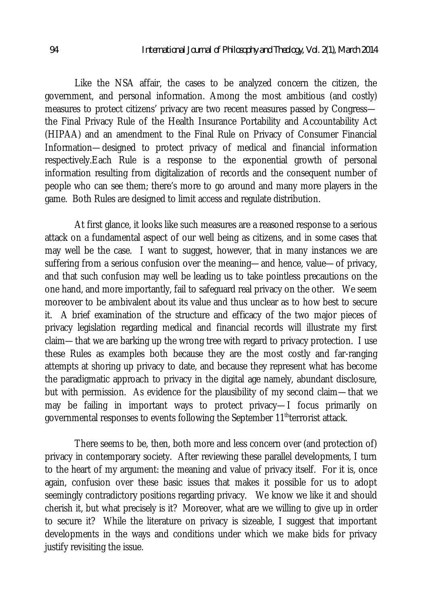Like the NSA affair, the cases to be analyzed concern the citizen, the government, and personal information. Among the most ambitious (and costly) measures to protect citizens' privacy are two recent measures passed by Congress the Final Privacy Rule of the Health Insurance Portability and Accountability Act (HIPAA) and an amendment to the Final Rule on Privacy of Consumer Financial Information—designed to protect privacy of medical and financial information respectively.Each Rule is a response to the exponential growth of personal information resulting from digitalization of records and the consequent number of people who can see them; there's more to go around and many more players in the game. Both Rules are designed to limit access and regulate distribution.

At first glance, it looks like such measures are a reasoned response to a serious attack on a fundamental aspect of our well being as citizens, and in some cases that may well be the case. I want to suggest, however, that in many instances we are suffering from a serious confusion over the meaning—and hence, value—of privacy, and that such confusion may well be leading us to take pointless precautions on the one hand, and more importantly, fail to safeguard real privacy on the other. We seem moreover to be ambivalent about its value and thus unclear as to how best to secure it. A brief examination of the structure and efficacy of the two major pieces of privacy legislation regarding medical and financial records will illustrate my first claim—that we are barking up the wrong tree with regard to privacy protection. I use these Rules as examples both because they are the most costly and far-ranging attempts at shoring up privacy to date, and because they represent what has become the paradigmatic approach to privacy in the digital age namely, abundant disclosure, but with permission. As evidence for the plausibility of my second claim—that we may be failing in important ways to protect privacy—I focus primarily on governmental responses to events following the September 11<sup>th</sup>terrorist attack.

There seems to be, then, both more and less concern over (and protection of) privacy in contemporary society. After reviewing these parallel developments, I turn to the heart of my argument: the meaning and value of privacy itself. For it is, once again, confusion over these basic issues that makes it possible for us to adopt seemingly contradictory positions regarding privacy. We know we like it and should cherish it, but what precisely is it? Moreover, what are we willing to give up in order to secure it? While the literature on privacy is sizeable, I suggest that important developments in the ways and conditions under which we make bids for privacy justify revisiting the issue.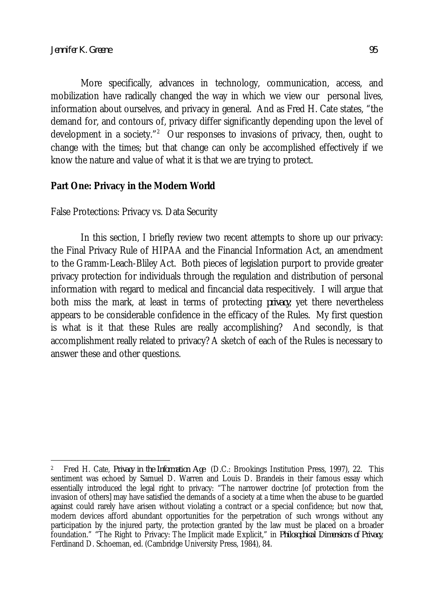More specifically, advances in technology, communication, access, and mobilization have radically changed the way in which we view our personal lives, information about ourselves, and privacy in general. And as Fred H. Cate states, "the demand for, and contours of, privacy differ significantly depending upon the level of development in a society."<sup>2</sup> Our responses to invasions of privacy, then, ought to change with the times; but that change can only be accomplished effectively if we know the nature and value of what it is that we are trying to protect.

### **Part One: Privacy in the Modern World**

False Protections: Privacy vs. Data Security

In this section, I briefly review two recent attempts to shore up our privacy: the Final Privacy Rule of HIPAA and the Financial Information Act, an amendment to the Gramm-Leach-Bliley Act. Both pieces of legislation purport to provide greater privacy protection for individuals through the regulation and distribution of personal information with regard to medical and fincancial data respecitively. I will argue that both miss the mark, at least in terms of protecting *privacy*; yet there nevertheless appears to be considerable confidence in the efficacy of the Rules. My first question is what is it that these Rules are really accomplishing? And secondly, is that accomplishment really related to privacy? A sketch of each of the Rules is necessary to answer these and other questions.

 $\overline{\phantom{a}}$ 2 Fred H. Cate, *Privacy in the Information Age* (D.C.: Brookings Institution Press, 1997), 22. This sentiment was echoed by Samuel D. Warren and Louis D. Brandeis in their famous essay which essentially introduced the legal right to privacy: "The narrower doctrine [of protection from the invasion of others] may have satisfied the demands of a society at a time when the abuse to be guarded against could rarely have arisen without violating a contract or a special confidence; but now that, modern devices afford abundant opportunities for the perpetration of such wrongs without any participation by the injured party, the protection granted by the law must be placed on a broader foundation." "The Right to Privacy: The Implicit made Explicit," in *Philosophical Dimensions of Privacy*, Ferdinand D. Schoeman, ed. (Cambridge University Press, 1984), 84.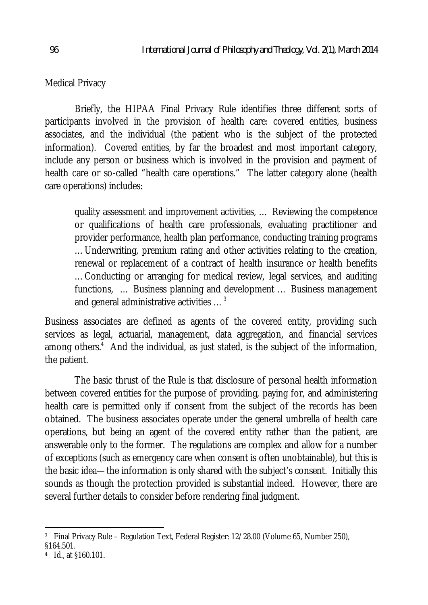Medical Privacy

Briefly, the HIPAA Final Privacy Rule identifies three different sorts of participants involved in the provision of health care: covered entities, business associates, and the individual (the patient who is the subject of the protected information). Covered entities, by far the broadest and most important category, include any person or business which is involved in the provision and payment of health care or so-called "health care operations." The latter category alone (health care operations) includes:

quality assessment and improvement activities, … Reviewing the competence or qualifications of health care professionals, evaluating practitioner and provider performance, health plan performance, conducting training programs …Underwriting, premium rating and other activities relating to the creation, renewal or replacement of a contract of health insurance or health benefits …Conducting or arranging for medical review, legal services, and auditing functions, … Business planning and development … Business management and general administrative activities …<sup>3</sup>

Business associates are defined as agents of the covered entity, providing such services as legal, actuarial, management, data aggregation, and financial services among others.<sup>4</sup> And the individual, as just stated, is the subject of the information, the patient.

The basic thrust of the Rule is that disclosure of personal health information between covered entities for the purpose of providing, paying for, and administering health care is permitted only if consent from the subject of the records has been obtained. The business associates operate under the general umbrella of health care operations, but being an agent of the covered entity rather than the patient, are answerable only to the former. The regulations are complex and allow for a number of exceptions (such as emergency care when consent is often unobtainable), but this is the basic idea—the information is only shared with the subject's consent. Initially this sounds as though the protection provided is substantial indeed. However, there are several further details to consider before rendering final judgment.

 $\overline{a}$ 3 Final Privacy Rule – Regulation Text, Federal Register: 12/28.00 (Volume 65, Number 250), §164.501.

<sup>4</sup> Id., at §160.101.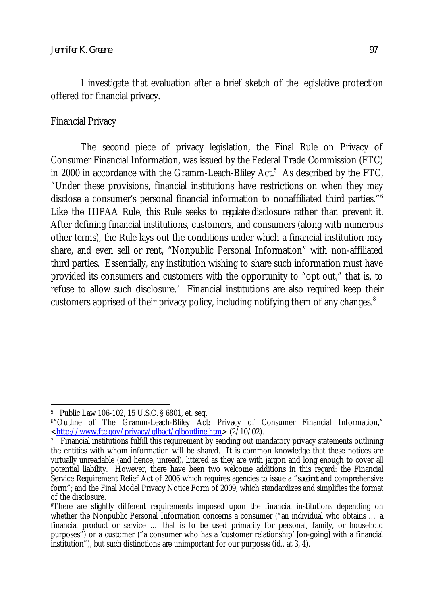I investigate that evaluation after a brief sketch of the legislative protection offered for financial privacy.

#### Financial Privacy

The second piece of privacy legislation, the Final Rule on Privacy of Consumer Financial Information, was issued by the Federal Trade Commission (FTC) in 2000 in accordance with the Gramm-Leach-Bliley  $Act.^5$  As described by the FTC, "Under these provisions, financial institutions have restrictions on when they may disclose a consumer's personal financial information to nonaffiliated third parties."<sup>6</sup> Like the HIPAA Rule, this Rule seeks to *regulate* disclosure rather than prevent it. After defining financial institutions, customers, and consumers (along with numerous other terms), the Rule lays out the conditions under which a financial institution may share, and even sell or rent, "Nonpublic Personal Information" with non-affiliated third parties. Essentially, any institution wishing to share such information must have provided its consumers and customers with the opportunity to "opt out," that is, to refuse to allow such disclosure. $^7$  Financial institutions are also required keep their customers apprised of their privacy policy, including notifying them of any changes.<sup>8</sup>

 $\overline{\phantom{a}}$ 5 Public Law 106-102, 15 U.S.C. § 6801, et. seq.

<sup>6</sup>"Outline of The Gramm-Leach-Bliley Act: Privacy of Consumer Financial Information," <http://www.ftc.gov/privacy/glbact/glboutline.htm> (2/10/02).

<sup>7</sup> Financial institutions fulfill this requirement by sending out mandatory privacy statements outlining the entities with whom information will be shared. It is common knowledge that these notices are virtually unreadable (and hence, unread), littered as they are with jargon and long enough to cover all potential liability. However, there have been two welcome additions in this regard: the Financial Service Requirement Relief Act of 2006 which requires agencies to issue a "*succinct* and comprehensive form"; and the Final Model Privacy Notice Form of 2009, which standardizes and simplifies the format of the disclosure.

<sup>&</sup>lt;sup>8</sup>There are slightly different requirements imposed upon the financial institutions depending on whether the Nonpublic Personal Information concerns a consumer ("an individual who obtains … a financial product or service … that is to be used primarily for personal, family, or household purposes") or a customer ("a consumer who has a 'customer relationship' [on-going] with a financial institution"), but such distinctions are unimportant for our purposes (id., at 3, 4).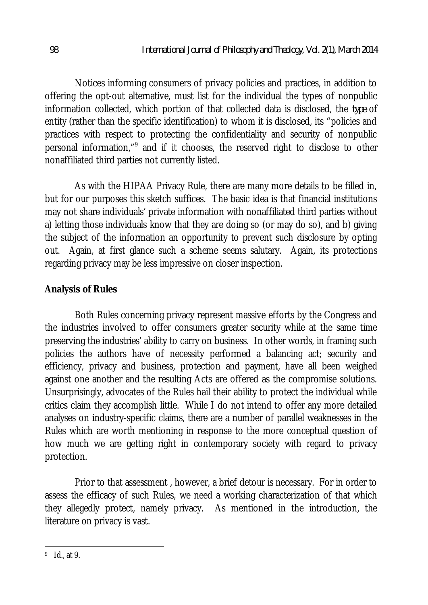Notices informing consumers of privacy policies and practices, in addition to offering the opt-out alternative, must list for the individual the types of nonpublic information collected, which portion of that collected data is disclosed, the *type* of entity (rather than the specific identification) to whom it is disclosed, its "policies and practices with respect to protecting the confidentiality and security of nonpublic personal information,"<sup>9</sup> and if it chooses, the reserved right to disclose to other nonaffiliated third parties not currently listed.

As with the HIPAA Privacy Rule, there are many more details to be filled in, but for our purposes this sketch suffices. The basic idea is that financial institutions may not share individuals' private information with nonaffiliated third parties without a) letting those individuals know that they are doing so (or may do so), and b) giving the subject of the information an opportunity to prevent such disclosure by opting out. Again, at first glance such a scheme seems salutary. Again, its protections regarding privacy may be less impressive on closer inspection.

## **Analysis of Rules**

Both Rules concerning privacy represent massive efforts by the Congress and the industries involved to offer consumers greater security while at the same time preserving the industries' ability to carry on business. In other words, in framing such policies the authors have of necessity performed a balancing act; security and efficiency, privacy and business, protection and payment, have all been weighed against one another and the resulting Acts are offered as the compromise solutions. Unsurprisingly, advocates of the Rules hail their ability to protect the individual while critics claim they accomplish little. While I do not intend to offer any more detailed analyses on industry-specific claims, there are a number of parallel weaknesses in the Rules which are worth mentioning in response to the more conceptual question of how much we are getting right in contemporary society with regard to privacy protection.

Prior to that assessment , however, a brief detour is necessary. For in order to assess the efficacy of such Rules, we need a working characterization of that which they allegedly protect, namely privacy. As mentioned in the introduction, the literature on privacy is vast.

 $\overline{\phantom{a}}$ 9 Id., at 9.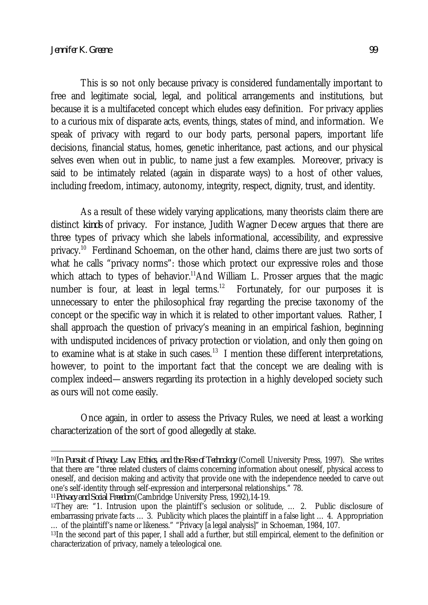This is so not only because privacy is considered fundamentally important to free and legitimate social, legal, and political arrangements and institutions, but because it is a multifaceted concept which eludes easy definition. For privacy applies to a curious mix of disparate acts, events, things, states of mind, and information. We speak of privacy with regard to our body parts, personal papers, important life decisions, financial status, homes, genetic inheritance, past actions, and our physical selves even when out in public, to name just a few examples. Moreover, privacy is said to be intimately related (again in disparate ways) to a host of other values, including freedom, intimacy, autonomy, integrity, respect, dignity, trust, and identity.

As a result of these widely varying applications, many theorists claim there are distinct *kinds* of privacy. For instance, Judith Wagner Decew argues that there are three types of privacy which she labels informational, accessibility, and expressive privacy.<sup>10</sup> Ferdinand Schoeman, on the other hand, claims there are just two sorts of what he calls "privacy norms": those which protect our expressive roles and those which attach to types of behavior.<sup>11</sup>And William L. Prosser argues that the magic number is four, at least in legal terms. $12$  Fortunately, for our purposes it is unnecessary to enter the philosophical fray regarding the precise taxonomy of the concept or the specific way in which it is related to other important values. Rather, I shall approach the question of privacy's meaning in an empirical fashion, beginning with undisputed incidences of privacy protection or violation, and only then going on to examine what is at stake in such cases. $^{13}$  I mention these different interpretations, however, to point to the important fact that the concept we are dealing with is complex indeed—answers regarding its protection in a highly developed society such as ours will not come easily.

Once again, in order to assess the Privacy Rules, we need at least a working characterization of the sort of good allegedly at stake.

<sup>11</sup>*Privacy and Social Freedom* (Cambridge University Press, 1992),14-19.

 $\overline{\phantom{a}}$ <sup>10</sup>*In Pursuit of Privacy: Law, Ethics, and the Rise of Technology* (Cornell University Press, 1997). She writes that there are "three related clusters of claims concerning information about oneself, physical access to oneself, and decision making and activity that provide one with the independence needed to carve out one's self-identity through self-expression and interpersonal relationships." 78.

<sup>12</sup>They are: "1. Intrusion upon the plaintiff's seclusion or solitude, … 2. Public disclosure of embarrassing private facts … 3. Publicity which places the plaintiff in a false light … 4. Appropriation … of the plaintiff's name or likeness." "Privacy [a legal analysis]" in Schoeman, 1984, 107.

<sup>13</sup>In the second part of this paper, I shall add a further, but still empirical, element to the definition or characterization of privacy, namely a teleological one.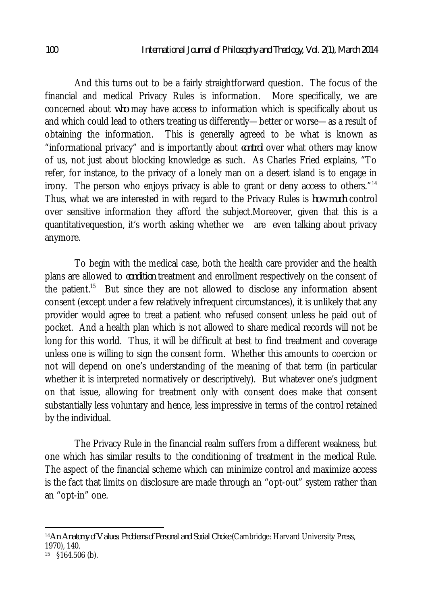And this turns out to be a fairly straightforward question. The focus of the financial and medical Privacy Rules is information. More specifically, we are concerned about *who* may have access to information which is specifically about us and which could lead to others treating us differently—better or worse—as a result of obtaining the information. This is generally agreed to be what is known as "informational privacy" and is importantly about *control* over what others may know of us, not just about blocking knowledge as such. As Charles Fried explains, "To refer, for instance, to the privacy of a lonely man on a desert island is to engage in irony. The person who enjoys privacy is able to grant or deny access to others."<sup>14</sup> Thus, what we are interested in with regard to the Privacy Rules is *how much* control over sensitive information they afford the subject.Moreover, given that this is a quantitativequestion, it's worth asking whether we are even talking about privacy anymore.

To begin with the medical case, both the health care provider and the health plans are allowed to *condition* treatment and enrollment respectively on the consent of the patient.<sup>15</sup> But since they are not allowed to disclose any information absent consent (except under a few relatively infrequent circumstances), it is unlikely that any provider would agree to treat a patient who refused consent unless he paid out of pocket. And a health plan which is not allowed to share medical records will not be long for this world. Thus, it will be difficult at best to find treatment and coverage unless one is willing to sign the consent form. Whether this amounts to coercion or not will depend on one's understanding of the meaning of that term (in particular whether it is interpreted normatively or descriptively). But whatever one's judgment on that issue, allowing for treatment only with consent does make that consent substantially less voluntary and hence, less impressive in terms of the control retained by the individual.

The Privacy Rule in the financial realm suffers from a different weakness, but one which has similar results to the conditioning of treatment in the medical Rule. The aspect of the financial scheme which can minimize control and maximize access is the fact that limits on disclosure are made through an "opt-out" system rather than an "opt-in" one.

 $\overline{a}$ <sup>14</sup>*An Anatomy of Values: Problems of Personal and Social Choice* (Cambridge: Harvard University Press, 1970), 140.

<sup>15</sup> §164.506 (b).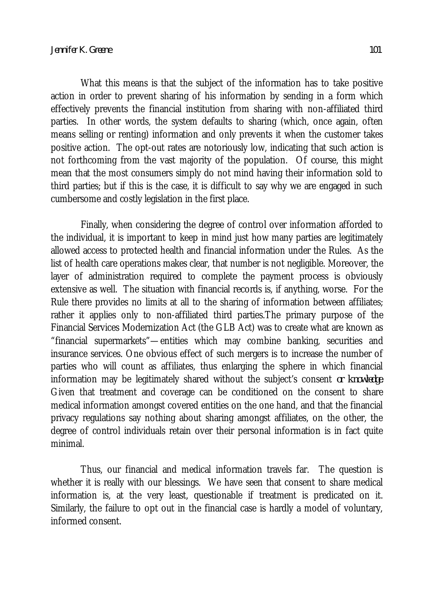What this means is that the subject of the information has to take positive action in order to prevent sharing of his information by sending in a form which effectively prevents the financial institution from sharing with non-affiliated third parties. In other words, the system defaults to sharing (which, once again, often means selling or renting) information and only prevents it when the customer takes positive action. The opt-out rates are notoriously low, indicating that such action is not forthcoming from the vast majority of the population. Of course, this might mean that the most consumers simply do not mind having their information sold to third parties; but if this is the case, it is difficult to say why we are engaged in such cumbersome and costly legislation in the first place.

Finally, when considering the degree of control over information afforded to the individual, it is important to keep in mind just how many parties are legitimately allowed access to protected health and financial information under the Rules. As the list of health care operations makes clear, that number is not negligible. Moreover, the layer of administration required to complete the payment process is obviously extensive as well. The situation with financial records is, if anything, worse. For the Rule there provides no limits at all to the sharing of information between affiliates; rather it applies only to non-affiliated third parties.The primary purpose of the Financial Services Modernization Act (the GLB Act) was to create what are known as "financial supermarkets"—entities which may combine banking, securities and insurance services. One obvious effect of such mergers is to increase the number of parties who will count as affiliates, thus enlarging the sphere in which financial information may be legitimately shared without the subject's consent *or knowledge*. Given that treatment and coverage can be conditioned on the consent to share medical information amongst covered entities on the one hand, and that the financial privacy regulations say nothing about sharing amongst affiliates, on the other, the degree of control individuals retain over their personal information is in fact quite minimal.

Thus, our financial and medical information travels far. The question is whether it is really with our blessings. We have seen that consent to share medical information is, at the very least, questionable if treatment is predicated on it. Similarly, the failure to opt out in the financial case is hardly a model of voluntary, informed consent.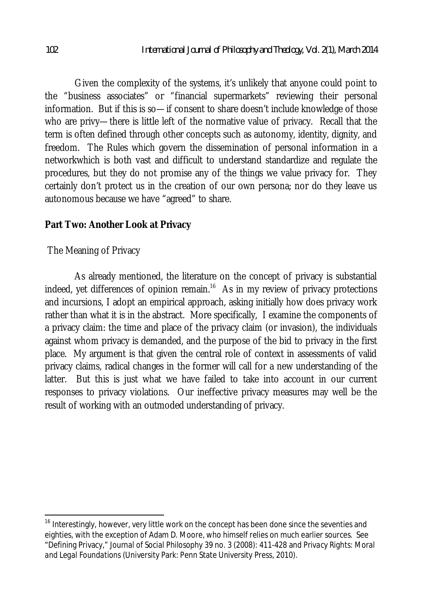Given the complexity of the systems, it's unlikely that anyone could point to the "business associates" or "financial supermarkets" reviewing their personal information. But if this is so—if consent to share doesn't include knowledge of those who are privy—there is little left of the normative value of privacy. Recall that the term is often defined through other concepts such as autonomy, identity, dignity, and freedom. The Rules which govern the dissemination of personal information in a networkwhich is both vast and difficult to understand standardize and regulate the procedures, but they do not promise any of the things we value privacy for. They certainly don't protect us in the creation of our own persona; nor do they leave us autonomous because we have "agreed" to share.

#### **Part Two: Another Look at Privacy**

The Meaning of Privacy

As already mentioned, the literature on the concept of privacy is substantial indeed, yet differences of opinion remain.<sup>16</sup> As in my review of privacy protections and incursions, I adopt an empirical approach, asking initially how does privacy work rather than what it is in the abstract. More specifically, I examine the components of a privacy claim: the time and place of the privacy claim (or invasion), the individuals against whom privacy is demanded, and the purpose of the bid to privacy in the first place. My argument is that given the central role of context in assessments of valid privacy claims, radical changes in the former will call for a new understanding of the latter. But this is just what we have failed to take into account in our current responses to privacy violations. Our ineffective privacy measures may well be the result of working with an outmoded understanding of privacy.

 $\overline{a}$ 

<sup>&</sup>lt;sup>16</sup> Interestingly, however, very little work on the concept has been done since the seventies and eighties, with the exception of Adam D. Moore, who himself relies on much earlier sources. See "Defining Privacy," *Journal of Social Philosophy* 39 no. 3 (2008): 411-428 and *Privacy Rights: Moral and Legal Foundations* (University Park: Penn State University Press, 2010).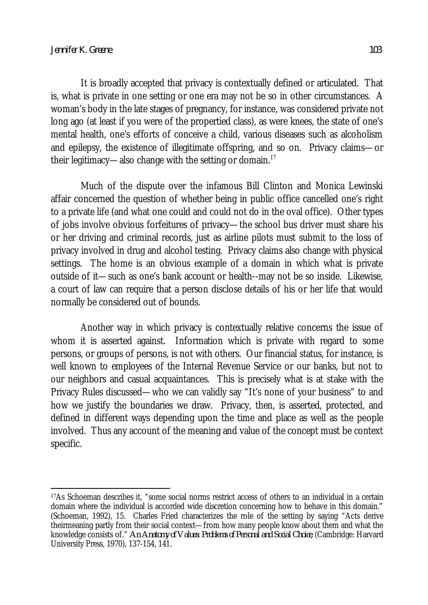It is broadly accepted that privacy is contextually defined or articulated. That is, what is private in one setting or one era may not be so in other circumstances. A woman's body in the late stages of pregnancy, for instance, was considered private not long ago (at least if you were of the propertied class), as were knees, the state of one's mental health, one's efforts of conceive a child, various diseases such as alcoholism and epilepsy, the existence of illegitimate offspring, and so on. Privacy claims—or their legitimacy—also change with the setting or domain.<sup>17</sup>

Much of the dispute over the infamous Bill Clinton and Monica Lewinski affair concerned the question of whether being in public office cancelled one's right to a private life (and what one could and could not do in the oval office). Other types of jobs involve obvious forfeitures of privacy—the school bus driver must share his or her driving and criminal records, just as airline pilots must submit to the loss of privacy involved in drug and alcohol testing. Privacy claims also change with physical settings. The home is an obvious example of a domain in which what is private outside of it—such as one's bank account or health--may not be so inside. Likewise, a court of law can require that a person disclose details of his or her life that would normally be considered out of bounds.

Another way in which privacy is contextually relative concerns the issue of whom it is asserted against. Information which is private with regard to some persons, or groups of persons, is not with others. Our financial status, for instance, is well known to employees of the Internal Revenue Service or our banks, but not to our neighbors and casual acquaintances. This is precisely what is at stake with the Privacy Rules discussed—who we can validly say "It's none of your business" to and how we justify the boundaries we draw. Privacy, then, is asserted, protected, and defined in different ways depending upon the time and place as well as the people involved. Thus any account of the meaning and value of the concept must be context specific.

 $\overline{a}$ <sup>17</sup>As Schoeman describes it, "some social norms restrict access of others to an individual in a certain domain where the individual is accorded wide discretion concerning how to behave in this domain." (Schoeman, 1992), 15. Charles Fried characterizes the role of the setting by saying "Acts derive theirmeaning partly from their social context—from how many people know about them and what the knowledge consists of." *An Anatomy of Values: Problems of Personal and Social Choice*, (Cambridge: Harvard University Press, 1970), 137-154, 141.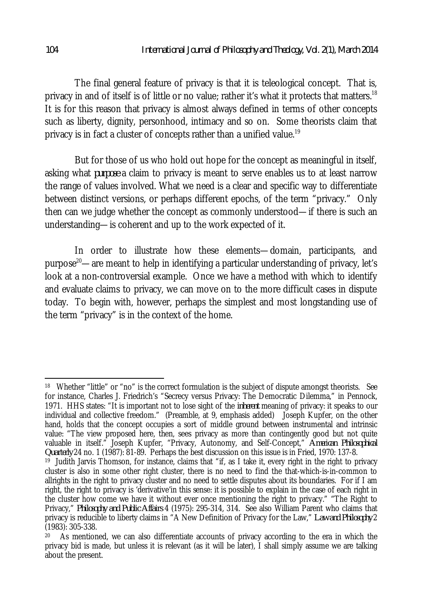The final general feature of privacy is that it is teleological concept. That is, privacy in and of itself is of little or no value; rather it's what it protects that matters.<sup>18</sup> It is for this reason that privacy is almost always defined in terms of other concepts such as liberty, dignity, personhood, intimacy and so on. Some theorists claim that privacy is in fact a cluster of concepts rather than a unified value.<sup>19</sup>

But for those of us who hold out hope for the concept as meaningful in itself, asking what *purpose* a claim to privacy is meant to serve enables us to at least narrow the range of values involved. What we need is a clear and specific way to differentiate between distinct versions, or perhaps different epochs, of the term "privacy." Only then can we judge whether the concept as commonly understood—if there is such an understanding—is coherent and up to the work expected of it.

In order to illustrate how these elements—domain, participants, and purpose<sup>20</sup>—are meant to help in identifying a particular understanding of privacy, let's look at a non-controversial example. Once we have a method with which to identify and evaluate claims to privacy, we can move on to the more difficult cases in dispute today. To begin with, however, perhaps the simplest and most longstanding use of the term "privacy" is in the context of the home.

 $\overline{a}$ 

<sup>&</sup>lt;sup>18</sup> Whether "little" or "no" is the correct formulation is the subject of dispute amongst theorists. See for instance, Charles J. Friedrich's "Secrecy versus Privacy: The Democratic Dilemma," in Pennock, 1971. HHS states: "It is important not to lose sight of the *inherent* meaning of privacy: it speaks to our individual and collective freedom." (Preamble, at 9, emphasis added) Joseph Kupfer, on the other hand, holds that the concept occupies a sort of middle ground between instrumental and intrinsic value: "The view proposed here, then, sees privacy as more than contingently good but not quite valuable in itself." Joseph Kupfer, "Privacy, Autonomy, and Self-Concept," *American Philosophical Quarterly* 24 no. 1 (1987): 81-89. Perhaps the best discussion on this issue is in Fried, 1970: 137-8. 19 Judith Jarvis Thomson, for instance, claims that "if, as I take it, every right in the right to privacy cluster is also in some other right cluster, there is no need to find the that-which-is-in-common to allrights in the right to privacy cluster and no need to settle disputes about its boundaries. For if I am right, the right to privacy is 'derivative'in this sense: it is possible to explain in the case of each right in the cluster how come we have it without ever once mentioning the right to privacy." "The Right to Privacy," *Philosophy and Public Affairs* 4 (1975): 295-314, 314. See also William Parent who claims that privacy is reducible to liberty claims in "A New Definition of Privacy for the Law," *Law and Philosophy* 2

<sup>(1983):</sup> 305-338.

<sup>20</sup> As mentioned, we can also differentiate accounts of privacy according to the era in which the privacy bid is made, but unless it is relevant (as it will be later), I shall simply assume we are talking about the present.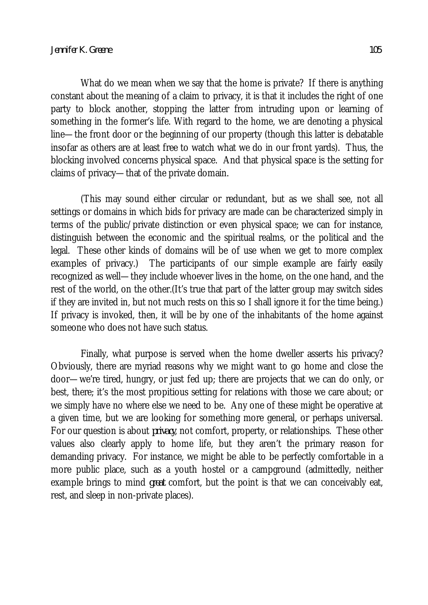What do we mean when we say that the home is private? If there is anything constant about the meaning of a claim to privacy, it is that it includes the right of one party to block another, stopping the latter from intruding upon or learning of something in the former's life. With regard to the home, we are denoting a physical line—the front door or the beginning of our property (though this latter is debatable insofar as others are at least free to watch what we do in our front yards). Thus, the blocking involved concerns physical space. And that physical space is the setting for claims of privacy—that of the private domain.

(This may sound either circular or redundant, but as we shall see, not all settings or domains in which bids for privacy are made can be characterized simply in terms of the public/private distinction or even physical space; we can for instance, distinguish between the economic and the spiritual realms, or the political and the legal. These other kinds of domains will be of use when we get to more complex examples of privacy.) The participants of our simple example are fairly easily recognized as well—they include whoever lives in the home, on the one hand, and the rest of the world, on the other.(It's true that part of the latter group may switch sides if they are invited in, but not much rests on this so I shall ignore it for the time being.) If privacy is invoked, then, it will be by one of the inhabitants of the home against someone who does not have such status.

Finally, what purpose is served when the home dweller asserts his privacy? Obviously, there are myriad reasons why we might want to go home and close the door—we're tired, hungry, or just fed up; there are projects that we can do only, or best, there; it's the most propitious setting for relations with those we care about; or we simply have no where else we need to be. Any one of these might be operative at a given time, but we are looking for something more general, or perhaps universal. For our question is about *privacy*, not comfort, property, or relationships. These other values also clearly apply to home life, but they aren't the primary reason for demanding privacy. For instance, we might be able to be perfectly comfortable in a more public place, such as a youth hostel or a campground (admittedly, neither example brings to mind *great* comfort, but the point is that we can conceivably eat, rest, and sleep in non-private places).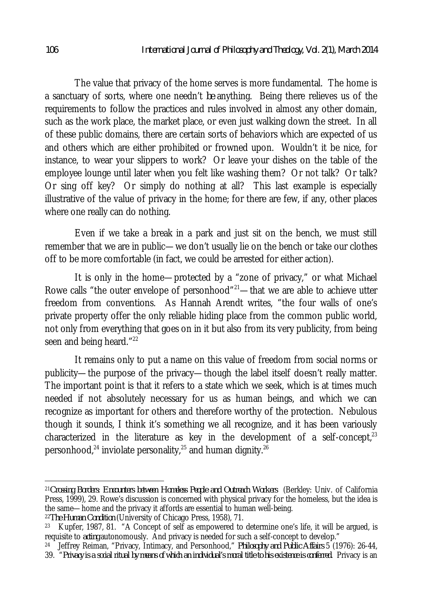The value that privacy of the home serves is more fundamental. The home is a sanctuary of sorts, where one needn't *be* anything. Being there relieves us of the requirements to follow the practices and rules involved in almost any other domain, such as the work place, the market place, or even just walking down the street. In all of these public domains, there are certain sorts of behaviors which are expected of us and others which are either prohibited or frowned upon. Wouldn't it be nice, for instance, to wear your slippers to work? Or leave your dishes on the table of the employee lounge until later when you felt like washing them? Or not talk? Or talk? Or sing off key? Or simply do nothing at all? This last example is especially illustrative of the value of privacy in the home; for there are few, if any, other places where one really can do nothing.

Even if we take a break in a park and just sit on the bench, we must still remember that we are in public—we don't usually lie on the bench or take our clothes off to be more comfortable (in fact, we could be arrested for either action).

It is only in the home—protected by a "zone of privacy," or what Michael Rowe calls "the outer envelope of personhood"<sup>21</sup>—that we are able to achieve utter freedom from conventions. As Hannah Arendt writes, "the four walls of one's private property offer the only reliable hiding place from the common public world, not only from everything that goes on in it but also from its very publicity, from being seen and being heard."<sup>22</sup>

It remains only to put a name on this value of freedom from social norms or publicity—the purpose of the privacy—though the label itself doesn't really matter. The important point is that it refers to a state which we seek, which is at times much needed if not absolutely necessary for us as human beings, and which we can recognize as important for others and therefore worthy of the protection. Nebulous though it sounds, I think it's something we all recognize, and it has been variously characterized in the literature as key in the development of a self-concept, $23$ personhood, $^{24}$  inviolate personality, $^{25}$  and human dignity. $^{26}$ 

 $\overline{\phantom{a}}$ 

<sup>21</sup>*Crossing Borders: Encounters between Homeless People and Outreach Workers* (Berkley: Univ. of California Press, 1999), 29. Rowe's discussion is concerned with physical privacy for the homeless, but the idea is the same—home and the privacy it affords are essential to human well-being.

<sup>22</sup>*The Human Condition* (University of Chicago Press, 1958), 71.

<sup>&</sup>lt;sup>23</sup> Kupfer, 1987, 81.  $A$  Concept of self as empowered to determine one's life, it will be argued, is requisite to *acting* autonomously. And privacy is needed for such a self-concept to develop."

<sup>24</sup> Jeffrey Reiman, "Privacy, Intimacy, and Personhood," *Philosophy and Public Affairs* 5 (1976): 26-44, 39. "*Privacy is a social ritual by means of which an individual's moral title to his existence is conferred.* Privacy is an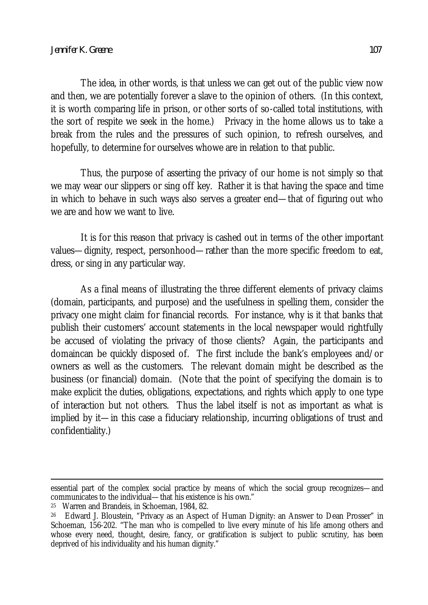The idea, in other words, is that unless we can get out of the public view now and then, we are potentially forever a slave to the opinion of others. (In this context, it is worth comparing life in prison, or other sorts of so-called total institutions, with the sort of respite we seek in the home.) Privacy in the home allows us to take a break from the rules and the pressures of such opinion, to refresh ourselves, and hopefully, to determine for ourselves whowe are in relation to that public.

Thus, the purpose of asserting the privacy of our home is not simply so that we may wear our slippers or sing off key. Rather it is that having the space and time in which to behave in such ways also serves a greater end—that of figuring out who we are and how we want to live.

It is for this reason that privacy is cashed out in terms of the other important values—dignity, respect, personhood—rather than the more specific freedom to eat, dress, or sing in any particular way.

As a final means of illustrating the three different elements of privacy claims (domain, participants, and purpose) and the usefulness in spelling them, consider the privacy one might claim for financial records. For instance, why is it that banks that publish their customers' account statements in the local newspaper would rightfully be accused of violating the privacy of those clients? Again, the participants and domaincan be quickly disposed of. The first include the bank's employees and/or owners as well as the customers. The relevant domain might be described as the business (or financial) domain. (Note that the point of specifying the domain is to make explicit the duties, obligations, expectations, and rights which apply to one type of interaction but not others. Thus the label itself is not as important as what is implied by it—in this case a fiduciary relationship, incurring obligations of trust and confidentiality.)

 $\overline{\phantom{a}}$ 

essential part of the complex social practice by means of which the social group recognizes—and communicates to the individual—that his existence is his own."

<sup>25</sup> Warren and Brandeis, in Schoeman, 1984, 82.

<sup>26</sup> Edward J. Bloustein, "Privacy as an Aspect of Human Dignity: an Answer to Dean Prosser" in Schoeman, 156-202. "The man who is compelled to live every minute of his life among others and whose every need, thought, desire, fancy, or gratification is subject to public scrutiny, has been deprived of his individuality and his human dignity."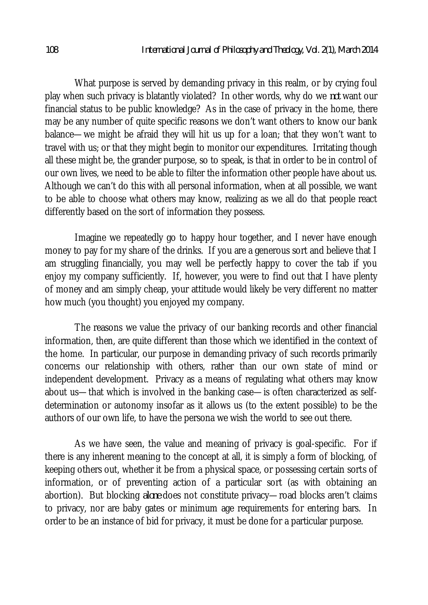What purpose is served by demanding privacy in this realm, or by crying foul play when such privacy is blatantly violated? In other words, why do we *not* want our financial status to be public knowledge? As in the case of privacy in the home, there may be any number of quite specific reasons we don't want others to know our bank balance—we might be afraid they will hit us up for a loan; that they won't want to travel with us; or that they might begin to monitor our expenditures. Irritating though all these might be, the grander purpose, so to speak, is that in order to be in control of our own lives, we need to be able to filter the information other people have about us. Although we can't do this with all personal information, when at all possible, we want to be able to choose what others may know, realizing as we all do that people react differently based on the sort of information they possess.

Imagine we repeatedly go to happy hour together, and I never have enough money to pay for my share of the drinks. If you are a generous sort and believe that I am struggling financially, you may well be perfectly happy to cover the tab if you enjoy my company sufficiently. If, however, you were to find out that I have plenty of money and am simply cheap, your attitude would likely be very different no matter how much (you thought) you enjoyed my company.

The reasons we value the privacy of our banking records and other financial information, then, are quite different than those which we identified in the context of the home. In particular, our purpose in demanding privacy of such records primarily concerns our relationship with others, rather than our own state of mind or independent development. Privacy as a means of regulating what others may know about us—that which is involved in the banking case—is often characterized as selfdetermination or autonomy insofar as it allows us (to the extent possible) to be the authors of our own life, to have the persona we wish the world to see out there.

As we have seen, the value and meaning of privacy is goal-specific. For if there is any inherent meaning to the concept at all, it is simply a form of blocking, of keeping others out, whether it be from a physical space, or possessing certain sorts of information, or of preventing action of a particular sort (as with obtaining an abortion). But blocking *alone* does not constitute privacy—road blocks aren't claims to privacy, nor are baby gates or minimum age requirements for entering bars. In order to be an instance of bid for privacy, it must be done for a particular purpose.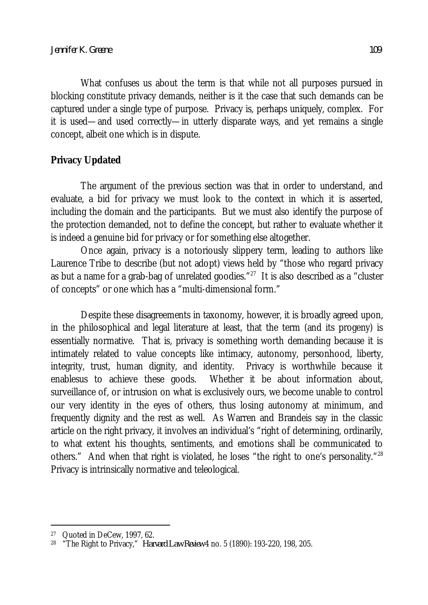What confuses us about the term is that while not all purposes pursued in blocking constitute privacy demands, neither is it the case that such demands can be captured under a single type of purpose. Privacy is, perhaps uniquely, complex. For it is used—and used correctly—in utterly disparate ways, and yet remains a single concept, albeit one which is in dispute.

## **Privacy Updated**

The argument of the previous section was that in order to understand, and evaluate, a bid for privacy we must look to the context in which it is asserted, including the domain and the participants. But we must also identify the purpose of the protection demanded, not to define the concept, but rather to evaluate whether it is indeed a genuine bid for privacy or for something else altogether.

Once again, privacy is a notoriously slippery term, leading to authors like Laurence Tribe to describe (but not adopt) views held by "those who regard privacy as but a name for a grab-bag of unrelated goodies." $^{27}$  It is also described as a "cluster of concepts" or one which has a "multi-dimensional form."

Despite these disagreements in taxonomy, however, it is broadly agreed upon, in the philosophical and legal literature at least, that the term (and its progeny) is essentially normative. That is, privacy is something worth demanding because it is intimately related to value concepts like intimacy, autonomy, personhood, liberty, integrity, trust, human dignity, and identity. Privacy is worthwhile because it enablesus to achieve these goods. Whether it be about information about, surveillance of, or intrusion on what is exclusively ours, we become unable to control our very identity in the eyes of others, thus losing autonomy at minimum, and frequently dignity and the rest as well. As Warren and Brandeis say in the classic article on the right privacy, it involves an individual's "right of determining, ordinarily, to what extent his thoughts, sentiments, and emotions shall be communicated to others." And when that right is violated, he loses "the right to one's personality."<sup>28</sup> Privacy is intrinsically normative and teleological.

 $\overline{\phantom{a}}$ 

<sup>27</sup> Quoted in DeCew, 1997, 62.

<sup>28</sup> "The Right to Privacy," *Harvard Law Review* 4 no. 5 (1890): 193-220, 198, 205.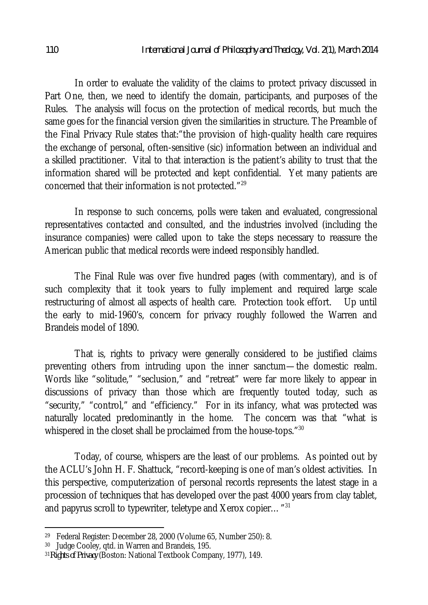In order to evaluate the validity of the claims to protect privacy discussed in Part One, then, we need to identify the domain, participants, and purposes of the Rules. The analysis will focus on the protection of medical records, but much the same goes for the financial version given the similarities in structure. The Preamble of the Final Privacy Rule states that:"the provision of high-quality health care requires the exchange of personal, often-sensitive (sic) information between an individual and a skilled practitioner. Vital to that interaction is the patient's ability to trust that the information shared will be protected and kept confidential. Yet many patients are concerned that their information is not protected." 29

In response to such concerns, polls were taken and evaluated, congressional representatives contacted and consulted, and the industries involved (including the insurance companies) were called upon to take the steps necessary to reassure the American public that medical records were indeed responsibly handled.

The Final Rule was over five hundred pages (with commentary), and is of such complexity that it took years to fully implement and required large scale restructuring of almost all aspects of health care. Protection took effort. Up until the early to mid-1960's, concern for privacy roughly followed the Warren and Brandeis model of 1890.

That is, rights to privacy were generally considered to be justified claims preventing others from intruding upon the inner sanctum—the domestic realm. Words like "solitude," "seclusion," and "retreat" were far more likely to appear in discussions of privacy than those which are frequently touted today, such as "security," "control," and "efficiency." For in its infancy, what was protected was naturally located predominantly in the home. The concern was that "what is whispered in the closet shall be proclaimed from the house-tops."<sup>30</sup>

Today, of course, whispers are the least of our problems. As pointed out by the ACLU's John H. F. Shattuck, "record-keeping is one of man's oldest activities. In this perspective, computerization of personal records represents the latest stage in a procession of techniques that has developed over the past 4000 years from clay tablet, and papyrus scroll to typewriter, teletype and Xerox copier $\dots$  " $^{31}$ 

 $\overline{a}$ 

<sup>29</sup> Federal Register: December 28, 2000 (Volume 65, Number 250): 8.

<sup>30</sup> Judge Cooley, qtd. in Warren and Brandeis, 195.

<sup>31</sup>*Rights of Privacy* (Boston: National Textbook Company, 1977), 149.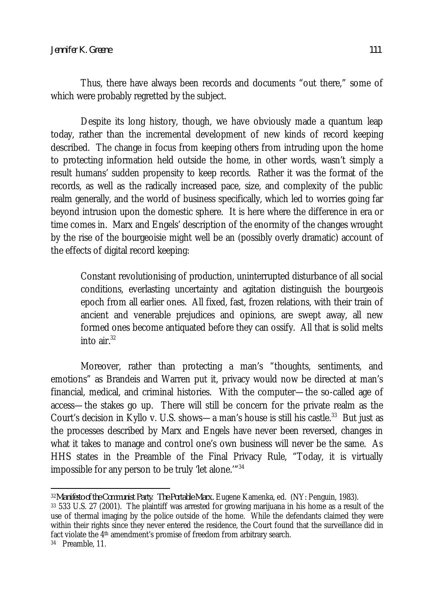Thus, there have always been records and documents "out there," some of which were probably regretted by the subject.

Despite its long history, though, we have obviously made a quantum leap today, rather than the incremental development of new kinds of record keeping described. The change in focus from keeping others from intruding upon the home to protecting information held outside the home, in other words, wasn't simply a result humans' sudden propensity to keep records. Rather it was the format of the records, as well as the radically increased pace, size, and complexity of the public realm generally, and the world of business specifically, which led to worries going far beyond intrusion upon the domestic sphere. It is here where the difference in era or time comes in. Marx and Engels' description of the enormity of the changes wrought by the rise of the bourgeoisie might well be an (possibly overly dramatic) account of the effects of digital record keeping:

Constant revolutionising of production, uninterrupted disturbance of all social conditions, everlasting uncertainty and agitation distinguish the bourgeois epoch from all earlier ones. All fixed, fast, frozen relations, with their train of ancient and venerable prejudices and opinions, are swept away, all new formed ones become antiquated before they can ossify. All that is solid melts into air. $32$ 

Moreover, rather than protecting a man's "thoughts, sentiments, and emotions" as Brandeis and Warren put it, privacy would now be directed at man's financial, medical, and criminal histories. With the computer—the so-called age of access—the stakes go up. There will still be concern for the private realm as the Court's decision in Kyllo v. U.S. shows—a man's house is still his castle. $^{33}$  But just as the processes described by Marx and Engels have never been reversed, changes in what it takes to manage and control one's own business will never be the same. As HHS states in the Preamble of the Final Privacy Rule, "Today, it is virtually impossible for any person to be truly 'let alone.'"<sup>34</sup>

 $\overline{a}$ <sup>32</sup>*Manifesto of the Communist Party*. *The Portable Marx.* Eugene Kamenka, ed. (NY: Penguin, 1983).

<sup>33</sup> 533 U.S. 27 (2001). The plaintiff was arrested for growing marijuana in his home as a result of the use of thermal imaging by the police outside of the home. While the defendants claimed they were within their rights since they never entered the residence, the Court found that the surveillance did in fact violate the 4<sup>th</sup> amendment's promise of freedom from arbitrary search.

<sup>34</sup> Preamble, 11.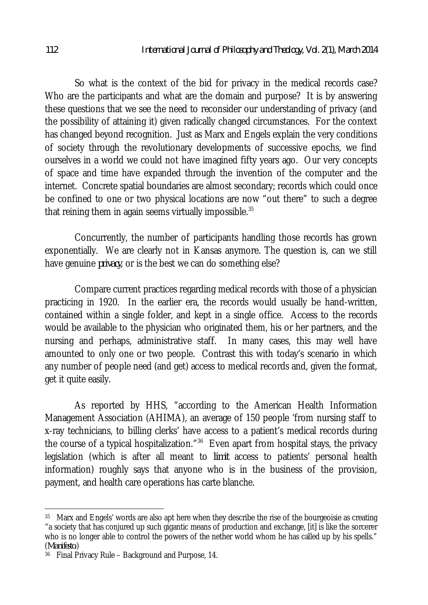So what is the context of the bid for privacy in the medical records case? Who are the participants and what are the domain and purpose? It is by answering these questions that we see the need to reconsider our understanding of privacy (and the possibility of attaining it) given radically changed circumstances. For the context has changed beyond recognition. Just as Marx and Engels explain the very conditions of society through the revolutionary developments of successive epochs, we find ourselves in a world we could not have imagined fifty years ago. Our very concepts of space and time have expanded through the invention of the computer and the internet. Concrete spatial boundaries are almost secondary; records which could once be confined to one or two physical locations are now "out there" to such a degree that reining them in again seems virtually impossible. $^{35}$ 

Concurrently, the number of participants handling those records has grown exponentially. We are clearly not in Kansas anymore. The question is, can we still have genuine *privacy*, or is the best we can do something else?

Compare current practices regarding medical records with those of a physician practicing in 1920. In the earlier era, the records would usually be hand-written, contained within a single folder, and kept in a single office. Access to the records would be available to the physician who originated them, his or her partners, and the nursing and perhaps, administrative staff. In many cases, this may well have amounted to only one or two people. Contrast this with today's scenario in which any number of people need (and get) access to medical records and, given the format, get it quite easily.

As reported by HHS, "according to the American Health Information Management Association (AHIMA), an average of 150 people 'from nursing staff to x-ray technicians, to billing clerks' have access to a patient's medical records during the course of a typical hospitalization."<sup>36</sup> Even apart from hospital stays, the privacy legislation (which is after all meant to *limit* access to patients' personal health information) roughly says that anyone who is in the business of the provision, payment, and health care operations has carte blanche.

 $\overline{a}$ 35 Marx and Engels' words are also apt here when they describe the rise of the bourgeoisie as creating "a society that has conjured up such gigantic means of production and exchange, [it] is like the sorcerer who is no longer able to control the powers of the nether world whom he has called up by his spells." (*Manifesto*.)

<sup>36</sup> Final Privacy Rule – Background and Purpose, 14.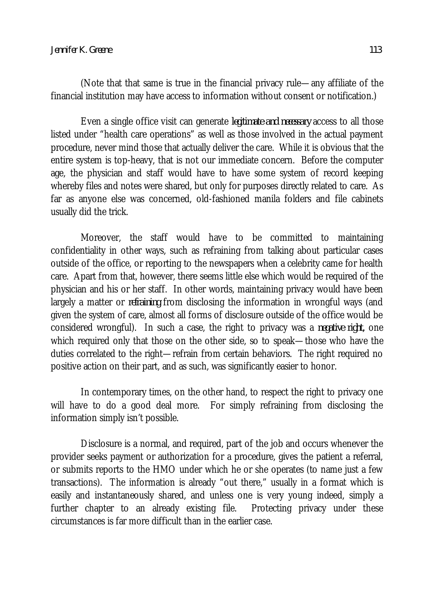(Note that that same is true in the financial privacy rule—any affiliate of the financial institution may have access to information without consent or notification.)

Even a single office visit can generate *legitimate and necessary* access to all those listed under "health care operations" as well as those involved in the actual payment procedure, never mind those that actually deliver the care. While it is obvious that the entire system is top-heavy, that is not our immediate concern. Before the computer age, the physician and staff would have to have some system of record keeping whereby files and notes were shared, but only for purposes directly related to care. As far as anyone else was concerned, old-fashioned manila folders and file cabinets usually did the trick.

Moreover, the staff would have to be committed to maintaining confidentiality in other ways, such as refraining from talking about particular cases outside of the office, or reporting to the newspapers when a celebrity came for health care. Apart from that, however, there seems little else which would be required of the physician and his or her staff. In other words, maintaining privacy would have been largely a matter or *refraining* from disclosing the information in wrongful ways (and given the system of care, almost all forms of disclosure outside of the office would be considered wrongful). In such a case, the right to privacy was a *negative right,* one which required only that those on the other side, so to speak—those who have the duties correlated to the right—refrain from certain behaviors. The right required no positive action on their part, and as such, was significantly easier to honor.

In contemporary times, on the other hand, to respect the right to privacy one will have to do a good deal more. For simply refraining from disclosing the information simply isn't possible.

Disclosure is a normal, and required, part of the job and occurs whenever the provider seeks payment or authorization for a procedure, gives the patient a referral, or submits reports to the HMO under which he or she operates (to name just a few transactions). The information is already "out there," usually in a format which is easily and instantaneously shared, and unless one is very young indeed, simply a further chapter to an already existing file. Protecting privacy under these circumstances is far more difficult than in the earlier case.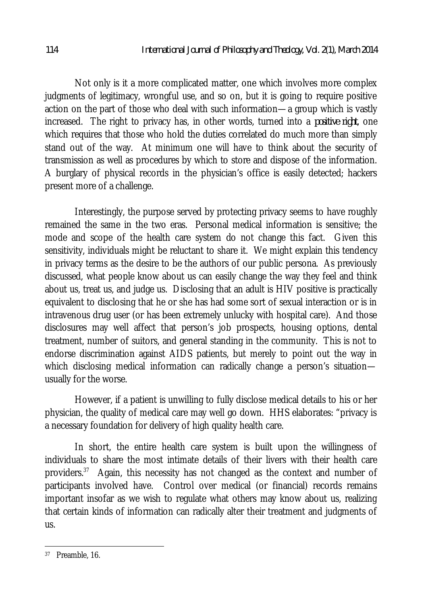Not only is it a more complicated matter, one which involves more complex judgments of legitimacy, wrongful use, and so on, but it is going to require positive action on the part of those who deal with such information—a group which is vastly increased. The right to privacy has, in other words, turned into a *positive right*, one which requires that those who hold the duties correlated do much more than simply stand out of the way. At minimum one will have to think about the security of transmission as well as procedures by which to store and dispose of the information. A burglary of physical records in the physician's office is easily detected; hackers present more of a challenge.

Interestingly, the purpose served by protecting privacy seems to have roughly remained the same in the two eras. Personal medical information is sensitive; the mode and scope of the health care system do not change this fact. Given this sensitivity, individuals might be reluctant to share it. We might explain this tendency in privacy terms as the desire to be the authors of our public persona. As previously discussed, what people know about us can easily change the way they feel and think about us, treat us, and judge us. Disclosing that an adult is HIV positive is practically equivalent to disclosing that he or she has had some sort of sexual interaction or is in intravenous drug user (or has been extremely unlucky with hospital care). And those disclosures may well affect that person's job prospects, housing options, dental treatment, number of suitors, and general standing in the community. This is not to endorse discrimination against AIDS patients, but merely to point out the way in which disclosing medical information can radically change a person's situationusually for the worse.

However, if a patient is unwilling to fully disclose medical details to his or her physician, the quality of medical care may well go down. HHS elaborates: "privacy is a necessary foundation for delivery of high quality health care.

In short, the entire health care system is built upon the willingness of individuals to share the most intimate details of their livers with their health care providers.<sup>37</sup> Again, this necessity has not changed as the context and number of participants involved have. Control over medical (or financial) records remains important insofar as we wish to regulate what others may know about us, realizing that certain kinds of information can radically alter their treatment and judgments of us.

 $\overline{\phantom{a}}$ 37 Preamble, 16.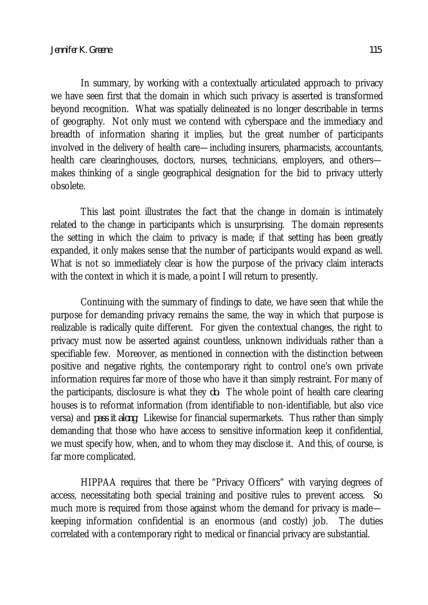In summary, by working with a contextually articulated approach to privacy we have seen first that the domain in which such privacy is asserted is transformed beyond recognition. What was spatially delineated is no longer describable in terms of geography. Not only must we contend with cyberspace and the immediacy and breadth of information sharing it implies, but the great number of participants involved in the delivery of health care—including insurers, pharmacists, accountants, health care clearinghouses, doctors, nurses, technicians, employers, and others makes thinking of a single geographical designation for the bid to privacy utterly obsolete.

This last point illustrates the fact that the change in domain is intimately related to the change in participants which is unsurprising. The domain represents the setting in which the claim to privacy is made; if that setting has been greatly expanded, it only makes sense that the number of participants would expand as well. What is not so immediately clear is how the purpose of the privacy claim interacts with the context in which it is made, a point I will return to presently.

Continuing with the summary of findings to date, we have seen that while the purpose for demanding privacy remains the same, the way in which that purpose is realizable is radically quite different. For given the contextual changes, the right to privacy must now be asserted against countless, unknown individuals rather than a specifiable few. Moreover, as mentioned in connection with the distinction between positive and negative rights, the contemporary right to control one's own private information requires far more of those who have it than simply restraint. For many of the participants, disclosure is what they *do*. The whole point of health care clearing houses is to reformat information (from identifiable to non-identifiable, but also vice versa) and *pass it along*. Likewise for financial supermarkets. Thus rather than simply demanding that those who have access to sensitive information keep it confidential, we must specify how, when, and to whom they may disclose it. And this, of course, is far more complicated.

HIPPAA requires that there be "Privacy Officers" with varying degrees of access, necessitating both special training and positive rules to prevent access. So much more is required from those against whom the demand for privacy is made keeping information confidential is an enormous (and costly) job. The duties correlated with a contemporary right to medical or financial privacy are substantial.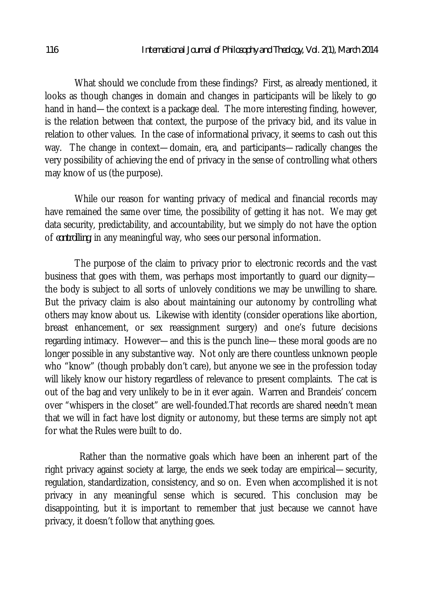What should we conclude from these findings? First, as already mentioned, it looks as though changes in domain and changes in participants will be likely to go hand in hand—the context is a package deal. The more interesting finding, however, is the relation between that context, the purpose of the privacy bid, and its value in relation to other values. In the case of informational privacy, it seems to cash out this way. The change in context—domain, era, and participants—radically changes the very possibility of achieving the end of privacy in the sense of controlling what others may know of us (the purpose).

While our reason for wanting privacy of medical and financial records may have remained the same over time, the possibility of getting it has not. We may get data security, predictability, and accountability, but we simply do not have the option of *controlling*, in any meaningful way, who sees our personal information.

The purpose of the claim to privacy prior to electronic records and the vast business that goes with them, was perhaps most importantly to guard our dignity the body is subject to all sorts of unlovely conditions we may be unwilling to share. But the privacy claim is also about maintaining our autonomy by controlling what others may know about us. Likewise with identity (consider operations like abortion, breast enhancement, or sex reassignment surgery) and one's future decisions regarding intimacy. However—and this is the punch line—these moral goods are no longer possible in any substantive way. Not only are there countless unknown people who "know" (though probably don't care), but anyone we see in the profession today will likely know our history regardless of relevance to present complaints. The cat is out of the bag and very unlikely to be in it ever again. Warren and Brandeis' concern over "whispers in the closet" are well-founded.That records are shared needn't mean that we will in fact have lost dignity or autonomy, but these terms are simply not apt for what the Rules were built to do.

 Rather than the normative goals which have been an inherent part of the right privacy against society at large, the ends we seek today are empirical—security, regulation, standardization, consistency, and so on. Even when accomplished it is not privacy in any meaningful sense which is secured. This conclusion may be disappointing, but it is important to remember that just because we cannot have privacy, it doesn't follow that anything goes.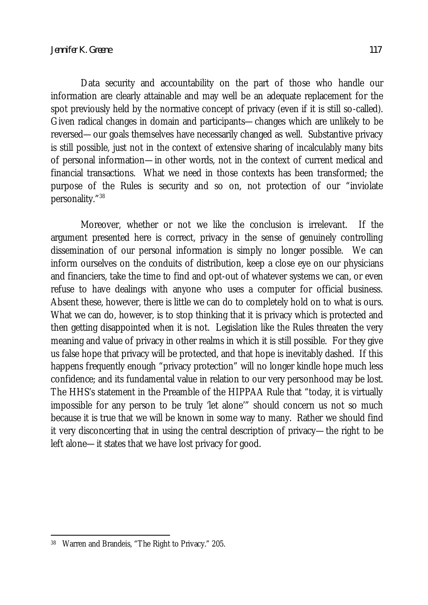Data security and accountability on the part of those who handle our information are clearly attainable and may well be an adequate replacement for the spot previously held by the normative concept of privacy (even if it is still so-called). Given radical changes in domain and participants—changes which are unlikely to be reversed—our goals themselves have necessarily changed as well. Substantive privacy is still possible, just not in the context of extensive sharing of incalculably many bits of personal information—in other words, not in the context of current medical and financial transactions. What we need in those contexts has been transformed; the purpose of the Rules is security and so on, not protection of our "inviolate personality."<sup>38</sup>

Moreover, whether or not we like the conclusion is irrelevant. If the argument presented here is correct, privacy in the sense of genuinely controlling dissemination of our personal information is simply no longer possible. We can inform ourselves on the conduits of distribution, keep a close eye on our physicians and financiers, take the time to find and opt-out of whatever systems we can, or even refuse to have dealings with anyone who uses a computer for official business. Absent these, however, there is little we can do to completely hold on to what is ours. What we can do, however, is to stop thinking that it is privacy which is protected and then getting disappointed when it is not. Legislation like the Rules threaten the very meaning and value of privacy in other realms in which it is still possible. For they give us false hope that privacy will be protected, and that hope is inevitably dashed. If this happens frequently enough "privacy protection" will no longer kindle hope much less confidence; and its fundamental value in relation to our very personhood may be lost. The HHS's statement in the Preamble of the HIPPAA Rule that "today, it is virtually impossible for any person to be truly 'let alone'" should concern us not so much because it is true that we will be known in some way to many. Rather we should find it very disconcerting that in using the central description of privacy—the right to be left alone—it states that we have lost privacy for good.

 $\overline{\phantom{a}}$ 38 Warren and Brandeis, "The Right to Privacy." 205.